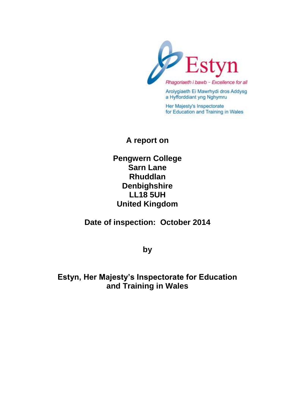

Rhagoriaeth i bawb - Excellence for all

Arolygiaeth Ei Mawrhydi dros Addysg a Hyfforddiant yng Nghymru

Her Majesty's Inspectorate for Education and Training in Wales

## **A report on**

**Pengwern College Sarn Lane Rhuddlan Denbighshire LL18 5UH United Kingdom**

**Date of inspection: October 2014**

**by**

**Estyn, Her Majesty's Inspectorate for Education and Training in Wales**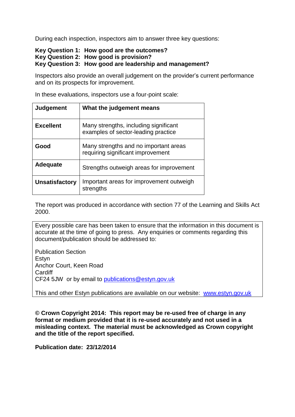During each inspection, inspectors aim to answer three key questions:

#### **Key Question 1: How good are the outcomes? Key Question 2: How good is provision? Key Question 3: How good are leadership and management?**

Inspectors also provide an overall judgement on the provider's current performance and on its prospects for improvement.

In these evaluations, inspectors use a four-point scale:

| <b>Judgement</b>      | What the judgement means                                                     |
|-----------------------|------------------------------------------------------------------------------|
| <b>Excellent</b>      | Many strengths, including significant<br>examples of sector-leading practice |
| Good                  | Many strengths and no important areas<br>requiring significant improvement   |
| <b>Adequate</b>       | Strengths outweigh areas for improvement                                     |
| <b>Unsatisfactory</b> | Important areas for improvement outweigh<br>strengths                        |

The report was produced in accordance with section 77 of the Learning and Skills Act 2000.

Every possible care has been taken to ensure that the information in this document is accurate at the time of going to press. Any enquiries or comments regarding this document/publication should be addressed to:

Publication Section **Estvn** Anchor Court, Keen Road **Cardiff** CF24 5JW or by email to [publications@estyn.gov.uk](mailto:publications@estyn.gov.uk)

This and other Estyn publications are available on our website: [www.estyn.gov.uk](http://www.estyn.gov.uk/)

**© Crown Copyright 2014: This report may be re-used free of charge in any format or medium provided that it is re-used accurately and not used in a misleading context. The material must be acknowledged as Crown copyright and the title of the report specified.**

**Publication date: 23/12/2014**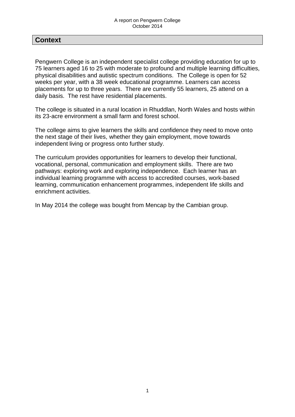## **Context**

Pengwern College is an independent specialist college providing education for up to 75 learners aged 16 to 25 with moderate to profound and multiple learning difficulties, physical disabilities and autistic spectrum conditions. The College is open for 52 weeks per year, with a 38 week educational programme. Learners can access placements for up to three years. There are currently 55 learners, 25 attend on a daily basis. The rest have residential placements.

The college is situated in a rural location in Rhuddlan, North Wales and hosts within its 23-acre environment a small farm and forest school.

The college aims to give learners the skills and confidence they need to move onto the next stage of their lives, whether they gain employment, move towards independent living or progress onto further study.

The curriculum provides opportunities for learners to develop their functional, vocational, personal, communication and employment skills. There are two pathways: exploring work and exploring independence. Each learner has an individual learning programme with access to accredited courses, work-based learning, communication enhancement programmes, independent life skills and enrichment activities.

In May 2014 the college was bought from Mencap by the Cambian group.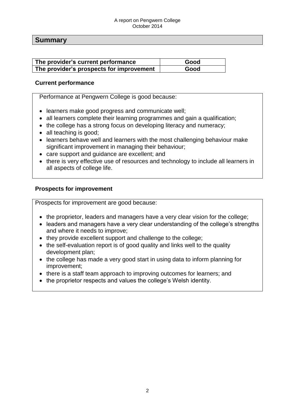#### A report on Pengwern College October 2014

### **Summary**

| The provider's current performance       | Good |
|------------------------------------------|------|
| The provider's prospects for improvement | Good |

#### **Current performance**

Performance at Pengwern College is good because:

- learners make good progress and communicate well;
- all learners complete their learning programmes and gain a qualification;
- the college has a strong focus on developing literacy and numeracy;
- all teaching is good;
- learners behave well and learners with the most challenging behaviour make significant improvement in managing their behaviour;
- care support and guidance are excellent; and
- there is very effective use of resources and technology to include all learners in all aspects of college life.

#### **Prospects for improvement**

Prospects for improvement are good because:

- the proprietor, leaders and managers have a very clear vision for the college;
- leaders and managers have a very clear understanding of the college's strengths and where it needs to improve;
- they provide excellent support and challenge to the college;
- the self-evaluation report is of good quality and links well to the quality development plan;
- the college has made a very good start in using data to inform planning for improvement;
- there is a staff team approach to improving outcomes for learners; and
- the proprietor respects and values the college's Welsh identity.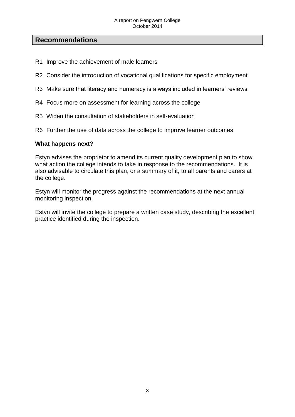## **Recommendations**

- R1 Improve the achievement of male learners
- R2 Consider the introduction of vocational qualifications for specific employment
- R3 Make sure that literacy and numeracy is always included in learners' reviews
- R4 Focus more on assessment for learning across the college
- R5 Widen the consultation of stakeholders in self-evaluation
- R6 Further the use of data across the college to improve learner outcomes

#### **What happens next?**

Estyn advises the proprietor to amend its current quality development plan to show what action the college intends to take in response to the recommendations. It is also advisable to circulate this plan, or a summary of it, to all parents and carers at the college.

Estyn will monitor the progress against the recommendations at the next annual monitoring inspection.

Estyn will invite the college to prepare a written case study, describing the excellent practice identified during the inspection.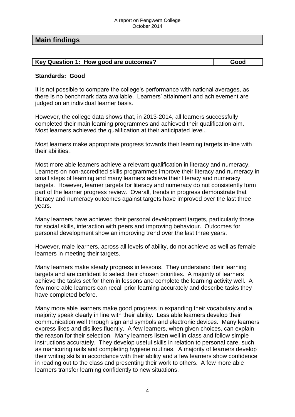### **Main findings**

| Key Question 1: How good are outcomes? | Good |
|----------------------------------------|------|

#### **Standards: Good**

It is not possible to compare the college's performance with national averages, as there is no benchmark data available. Learners' attainment and achievement are judged on an individual learner basis.

However, the college data shows that, in 2013-2014, all learners successfully completed their main learning programmes and achieved their qualification aim. Most learners achieved the qualification at their anticipated level.

Most learners make appropriate progress towards their learning targets in-line with their abilities.

Most more able learners achieve a relevant qualification in literacy and numeracy. Learners on non-accredited skills programmes improve their literacy and numeracy in small steps of learning and many learners achieve their literacy and numeracy targets. However, learner targets for literacy and numeracy do not consistently form part of the learner progress review. Overall, trends in progress demonstrate that literacy and numeracy outcomes against targets have improved over the last three years.

Many learners have achieved their personal development targets, particularly those for social skills, interaction with peers and improving behaviour. Outcomes for personal development show an improving trend over the last three years.

However, male learners, across all levels of ability, do not achieve as well as female learners in meeting their targets.

Many learners make steady progress in lessons. They understand their learning targets and are confident to select their chosen priorities. A majority of learners achieve the tasks set for them in lessons and complete the learning activity well. A few more able learners can recall prior learning accurately and describe tasks they have completed before.

Many more able learners make good progress in expanding their vocabulary and a majority speak clearly in line with their ability. Less able learners develop their communication well through sign and symbols and electronic devices. Many learners express likes and dislikes fluently. A few learners, when given choices, can explain the reason for their selection. Many learners listen well in class and follow simple instructions accurately. They develop useful skills in relation to personal care, such as manicuring nails and completing hygiene routines. A majority of learners develop their writing skills in accordance with their ability and a few learners show confidence in reading out to the class and presenting their work to others. A few more able learners transfer learning confidently to new situations.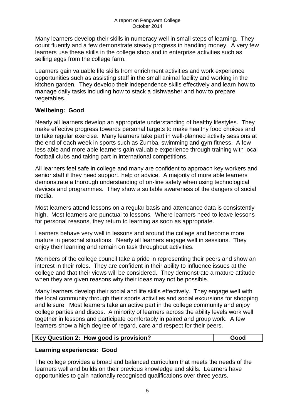Many learners develop their skills in numeracy well in small steps of learning. They count fluently and a few demonstrate steady progress in handling money. A very few learners use these skills in the college shop and in enterprise activities such as selling eggs from the college farm.

Learners gain valuable life skills from enrichment activities and work experience opportunities such as assisting staff in the small animal facility and working in the kitchen garden. They develop their independence skills effectively and learn how to manage daily tasks including how to stack a dishwasher and how to prepare vegetables.

### **Wellbeing: Good**

Nearly all learners develop an appropriate understanding of healthy lifestyles. They make effective progress towards personal targets to make healthy food choices and to take regular exercise. Many learners take part in well-planned activity sessions at the end of each week in sports such as Zumba, swimming and gym fitness. A few less able and more able learners gain valuable experience through training with local football clubs and taking part in international competitions.

All learners feel safe in college and many are confident to approach key workers and senior staff if they need support, help or advice. A majority of more able learners demonstrate a thorough understanding of on-line safety when using technological devices and programmes. They show a suitable awareness of the dangers of social media.

Most learners attend lessons on a regular basis and attendance data is consistently high. Most learners are punctual to lessons. Where learners need to leave lessons for personal reasons, they return to learning as soon as appropriate.

Learners behave very well in lessons and around the college and become more mature in personal situations. Nearly all learners engage well in sessions. They enjoy their learning and remain on task throughout activities.

Members of the college council take a pride in representing their peers and show an interest in their roles. They are confident in their ability to influence issues at the college and that their views will be considered. They demonstrate a mature attitude when they are given reasons why their ideas may not be possible.

Many learners develop their social and life skills effectively. They engage well with the local community through their sports activities and social excursions for shopping and leisure. Most learners take an active part in the college community and enjoy college parties and discos. A minority of learners across the ability levels work well together in lessons and participate comfortably in paired and group work. A few learners show a high degree of regard, care and respect for their peers.

| Key Question 2: How good is provision? | Good |
|----------------------------------------|------|
|----------------------------------------|------|

### **Learning experiences: Good**

The college provides a broad and balanced curriculum that meets the needs of the learners well and builds on their previous knowledge and skills. Learners have opportunities to gain nationally recognised qualifications over three years.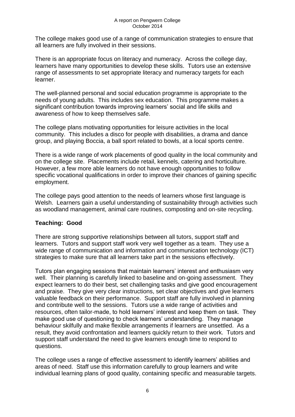The college makes good use of a range of communication strategies to ensure that all learners are fully involved in their sessions.

There is an appropriate focus on literacy and numeracy. Across the college day, learners have many opportunities to develop these skills. Tutors use an extensive range of assessments to set appropriate literacy and numeracy targets for each learner.

The well-planned personal and social education programme is appropriate to the needs of young adults. This includes sex education. This programme makes a significant contribution towards improving learners' social and life skills and awareness of how to keep themselves safe.

The college plans motivating opportunities for leisure activities in the local community. This includes a disco for people with disabilities, a drama and dance group, and playing Boccia, a ball sport related to bowls, at a local sports centre.

There is a wide range of work placements of good quality in the local community and on the college site. Placements include retail, kennels, catering and horticulture. However, a few more able learners do not have enough opportunities to follow specific vocational qualifications in order to improve their chances of gaining specific employment.

The college pays good attention to the needs of learners whose first language is Welsh. Learners gain a useful understanding of sustainability through activities such as woodland management, animal care routines, composting and on-site recycling.

### **Teaching: Good**

There are strong supportive relationships between all tutors, support staff and learners. Tutors and support staff work very well together as a team. They use a wide range of communication and information and communication technology (ICT) strategies to make sure that all learners take part in the sessions effectively.

Tutors plan engaging sessions that maintain learners' interest and enthusiasm very well. Their planning is carefully linked to baseline and on-going assessment. They expect learners to do their best, set challenging tasks and give good encouragement and praise. They give very clear instructions, set clear objectives and give learners valuable feedback on their performance. Support staff are fully involved in planning and contribute well to the sessions. Tutors use a wide range of activities and resources, often tailor-made, to hold learners' interest and keep them on task. They make good use of questioning to check learners' understanding. They manage behaviour skilfully and make flexible arrangements if learners are unsettled. As a result, they avoid confrontation and learners quickly return to their work. Tutors and support staff understand the need to give learners enough time to respond to questions.

The college uses a range of effective assessment to identify learners' abilities and areas of need. Staff use this information carefully to group learners and write individual learning plans of good quality, containing specific and measurable targets.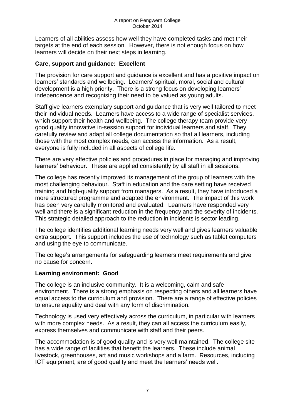Learners of all abilities assess how well they have completed tasks and met their targets at the end of each session. However, there is not enough focus on how learners will decide on their next steps in learning.

#### **Care, support and guidance: Excellent**

The provision for care support and guidance is excellent and has a positive impact on learners' standards and wellbeing. Learners' spiritual, moral, social and cultural development is a high priority. There is a strong focus on developing learners' independence and recognising their need to be valued as young adults.

Staff give learners exemplary support and guidance that is very well tailored to meet their individual needs. Learners have access to a wide range of specialist services, which support their health and wellbeing. The college therapy team provide very good quality innovative in-session support for individual learners and staff. They carefully review and adapt all college documentation so that all learners, including those with the most complex needs, can access the information. As a result, everyone is fully included in all aspects of college life.

There are very effective policies and procedures in place for managing and improving learners' behaviour. These are applied consistently by all staff in all sessions.

The college has recently improved its management of the group of learners with the most challenging behaviour. Staff in education and the care setting have received training and high-quality support from managers. As a result, they have introduced a more structured programme and adapted the environment. The impact of this work has been very carefully monitored and evaluated. Learners have responded very well and there is a significant reduction in the frequency and the severity of incidents. This strategic detailed approach to the reduction in incidents is sector leading.

The college identifies additional learning needs very well and gives learners valuable extra support. This support includes the use of technology such as tablet computers and using the eye to communicate.

The college's arrangements for safeguarding learners meet requirements and give no cause for concern.

#### **Learning environment: Good**

The college is an inclusive community. It is a welcoming, calm and safe environment. There is a strong emphasis on respecting others and all learners have equal access to the curriculum and provision. There are a range of effective policies to ensure equality and deal with any form of discrimination.

Technology is used very effectively across the curriculum, in particular with learners with more complex needs. As a result, they can all access the curriculum easily, express themselves and communicate with staff and their peers.

The accommodation is of good quality and is very well maintained. The college site has a wide range of facilities that benefit the learners. These include animal livestock, greenhouses, art and music workshops and a farm. Resources, including ICT equipment, are of good quality and meet the learners' needs well.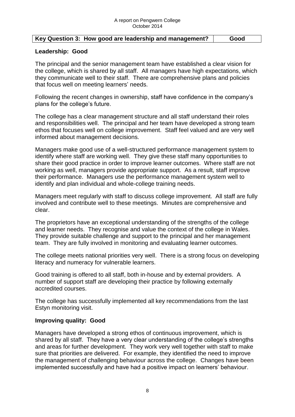#### **Key Question 3: How good are leadership and management? Good**

#### **Leadership: Good**

The principal and the senior management team have established a clear vision for the college, which is shared by all staff. All managers have high expectations, which they communicate well to their staff. There are comprehensive plans and policies that focus well on meeting learners' needs.

Following the recent changes in ownership, staff have confidence in the company's plans for the college's future.

The college has a clear management structure and all staff understand their roles and responsibilities well. The principal and her team have developed a strong team ethos that focuses well on college improvement. Staff feel valued and are very well informed about management decisions.

Managers make good use of a well-structured performance management system to identify where staff are working well. They give these staff many opportunities to share their good practice in order to improve learner outcomes. Where staff are not working as well, managers provide appropriate support. As a result, staff improve their performance. Managers use the performance management system well to identify and plan individual and whole-college training needs.

Managers meet regularly with staff to discuss college improvement. All staff are fully involved and contribute well to these meetings. Minutes are comprehensive and clear.

The proprietors have an exceptional understanding of the strengths of the college and learner needs. They recognise and value the context of the college in Wales. They provide suitable challenge and support to the principal and her management team. They are fully involved in monitoring and evaluating learner outcomes.

The college meets national priorities very well. There is a strong focus on developing literacy and numeracy for vulnerable learners.

Good training is offered to all staff, both in-house and by external providers. A number of support staff are developing their practice by following externally accredited courses.

The college has successfully implemented all key recommendations from the last Estyn monitoring visit.

#### **Improving quality: Good**

Managers have developed a strong ethos of continuous improvement, which is shared by all staff. They have a very clear understanding of the college's strengths and areas for further development. They work very well together with staff to make sure that priorities are delivered. For example, they identified the need to improve the management of challenging behaviour across the college. Changes have been implemented successfully and have had a positive impact on learners' behaviour.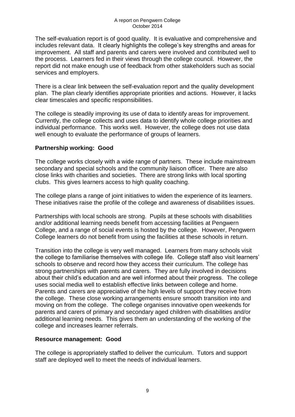The self-evaluation report is of good quality. It is evaluative and comprehensive and includes relevant data. It clearly highlights the college's key strengths and areas for improvement. All staff and parents and carers were involved and contributed well to the process. Learners fed in their views through the college council. However, the report did not make enough use of feedback from other stakeholders such as social services and employers.

There is a clear link between the self-evaluation report and the quality development plan. The plan clearly identifies appropriate priorities and actions. However, it lacks clear timescales and specific responsibilities.

The college is steadily improving its use of data to identify areas for improvement. Currently, the college collects and uses data to identify whole college priorities and individual performance. This works well. However, the college does not use data well enough to evaluate the performance of groups of learners.

#### **Partnership working: Good**

The college works closely with a wide range of partners. These include mainstream secondary and special schools and the community liaison officer. There are also close links with charities and societies. There are strong links with local sporting clubs. This gives learners access to high quality coaching.

The college plans a range of joint initiatives to widen the experience of its learners. These initiatives raise the profile of the college and awareness of disabilities issues.

Partnerships with local schools are strong. Pupils at these schools with disabilities and/or additional learning needs benefit from accessing facilities at Pengwern College, and a range of social events is hosted by the college. However, Pengwern College learners do not benefit from using the facilities at these schools in return.

Transition into the college is very well managed. Learners from many schools visit the college to familiarise themselves with college life. College staff also visit learners' schools to observe and record how they access their curriculum. The college has strong partnerships with parents and carers. They are fully involved in decisions about their child's education and are well informed about their progress. The college uses social media well to establish effective links between college and home. Parents and carers are appreciative of the high levels of support they receive from the college. These close working arrangements ensure smooth transition into and moving on from the college. The college organises innovative open weekends for parents and carers of primary and secondary aged children with disabilities and/or additional learning needs. This gives them an understanding of the working of the college and increases learner referrals.

### **Resource management: Good**

The college is appropriately staffed to deliver the curriculum. Tutors and support staff are deployed well to meet the needs of individual learners.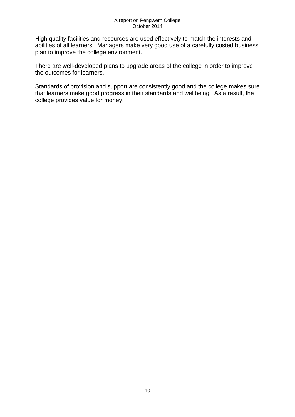High quality facilities and resources are used effectively to match the interests and abilities of all learners. Managers make very good use of a carefully costed business plan to improve the college environment.

There are well-developed plans to upgrade areas of the college in order to improve the outcomes for learners.

Standards of provision and support are consistently good and the college makes sure that learners make good progress in their standards and wellbeing. As a result, the college provides value for money.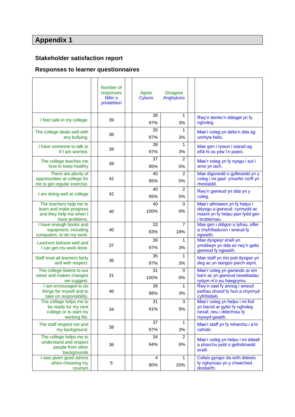# **Appendix 1**

# **Stakeholder satisfaction report**

# **Responses to learner questionnaires**

|                                                                                                 | Number of<br>responses<br>Nifer o<br>ymatebion | Agree<br>Cytuno       | <b>Disagree</b><br>Anghytuno |                                                                                                              |
|-------------------------------------------------------------------------------------------------|------------------------------------------------|-----------------------|------------------------------|--------------------------------------------------------------------------------------------------------------|
| I feel safe in my college.                                                                      | 39                                             | 38<br>97%             | 1<br>3%                      | Rwy'n teimlo'n ddiogel yn fy<br>ngholeg.                                                                     |
| The college deals well with<br>any bullying.                                                    | 36                                             | 35<br>97%             | 1<br>3%                      | Mae'r coleg yn delio'n dda ag<br>unrhyw fwlio.                                                               |
| I have someone to talk to<br>if I am worried.                                                   | 39                                             | 38<br>97%             | 1<br>3%                      | Mae gen i rywun i siarad ag<br>ef/â hi os ydw i'n poeni.                                                     |
| The college teaches me<br>how to keep healthy                                                   | 39                                             | 37<br>95%             | $\overline{c}$<br>5%         | Mae'r coleg yn fy nysgu i sut i<br>aros yn iach.                                                             |
| There are plenty of<br>opportunities at college for<br>me to get regular exercise.              | 42                                             | 40<br>95%             | 2<br>5%                      | Mae digonedd o gyfleoedd yn y<br>coleg i mi gael ymarfer corff yn<br>rheolaidd.                              |
| I am doing well at college                                                                      | 42                                             | 40<br>95%             | $\overline{2}$<br>5%         | Rwy'n gwneud yn dda yn y<br>coleg.                                                                           |
| The teachers help me to<br>learn and make progress<br>and they help me when I<br>have problems. | 40                                             | 40<br>100%            | 0<br>0%                      | Mae'r athrawon yn fy helpu i<br>ddysgu a gwneud cynnydd ac<br>maent yn fy helpu pan fydd gen<br>i broblemau. |
| I have enough books and<br>equipment, including<br>computers, to do my work.                    | 40                                             | 33<br>83%             | 7<br>18%                     | Mae gen i ddigon o lyfrau, offer<br>a chyfrifiaduron i wneud fy<br>ngwaith.                                  |
| Learners behave well and<br>I can get my work done.                                             | 37                                             | 36<br>97%             | 1<br>3%                      | Mae dysgwyr eraill yn<br>ymddwyn yn dda ac rwy'n gallu<br>gwneud fy ngwaith.                                 |
| Staff treat all learners fairly<br>and with respect.                                            | 36                                             | 35<br>97%             | 1<br>3%                      | Mae staff yn trin pob dysgwr yn<br>deg ac yn dangos parch atynt.                                             |
| The college listens to our<br>views and makes changes<br>we suggest.                            | 31                                             | 31<br>100%            | 0<br>$0\%$                   | Mae'r coleg yn gwrando ar ein<br>barn ac yn gwneud newidiadau<br>rydym ni'n eu hawgrymu.                     |
| I am encouraged to do<br>things for myself and to<br>take on responsibility.                    | 40                                             | 39<br>98%             | 1<br>3%                      | Rwy'n cael fy annog i wneud<br>pethau drosof fy hun a chymryd<br>cyfrifoldeb.                                |
| The college helps me to<br>be ready for my next<br>college or to start my<br>working life.      | 34                                             | 31<br>91%             | 3<br>9%                      | Mae'r coleg yn helpu i mi fod<br>yn barod ar gyfer fy ngholeg<br>nesaf, neu i ddechrau fy<br>mywyd gwaith.   |
| The staff respect me and<br>my background.                                                      | 38                                             | 37<br>97%             | 1<br>3%                      | Mae'r staff yn fy mharchu i a'm<br>cefndir.                                                                  |
| The college helps me to<br>understand and respect<br>people from other<br>backgrounds           | 36                                             | 34<br>94%             | 2<br>6%                      | Mae'r coleg yn helpu i mi ddeall<br>a pharchu pobl o gefndiroedd<br>eraill.                                  |
| I was given good advice<br>when choosing my<br>courses                                          | 5                                              | $\overline{4}$<br>80% | 1<br>20%                     | Cefais gyngor da wrth ddewis<br>fy nghyrsiau yn y chweched<br>dosbarth.                                      |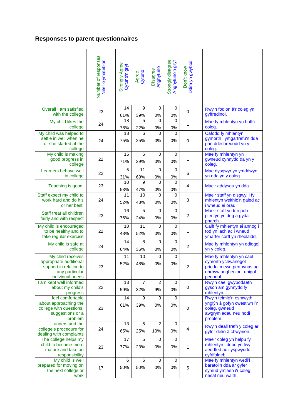# **Responses to parent questionnaires**

|                                                                                                             | Number of responses<br>Nifer o ymatebion | Strongly Agree<br>Cytuno'n gryf | Agree<br>Cytuno | Disagree<br>Anghytuno | Strongly disagree<br>Anghytuno'n gryf | Ddim yn gwybod<br>Don't know |                                                                                                                   |
|-------------------------------------------------------------------------------------------------------------|------------------------------------------|---------------------------------|-----------------|-----------------------|---------------------------------------|------------------------------|-------------------------------------------------------------------------------------------------------------------|
| Overall I am satisfied<br>with the college                                                                  | 23                                       | 14<br>61%                       | 9<br>39%        | 0<br>0%               | 0<br>0%                               | 0                            | Rwy'n fodlon â'r coleg yn<br>gyffredinol.                                                                         |
| My child likes the<br>college                                                                               | 24                                       | 18<br>78%                       | 5<br>22%        | 0<br>$0\%$            | 0<br>0%                               | $\mathbf{1}$                 | Mae fy mhlentyn yn hoffi'r<br>coleg.                                                                              |
| My child was helped to<br>settle in well when he<br>or she started at the<br>college                        | 24                                       | 18<br>75%                       | 6<br>25%        | 0<br>0%               | $\Omega$<br>0%                        | $\pmb{0}$                    | Cafodd fy mhlentyn<br>gymorth i ymgartrefu'n dda<br>pan ddechreuodd yn y<br>coleg.                                |
| My child is making<br>good progress in<br>college                                                           | 22                                       | 15<br>71%                       | 6<br>29%        | 0<br>0%               | $\mathbf 0$<br>0%                     | 1                            | Mae fy mhlentyn yn<br>gwneud cynnydd da yn y<br>coleg.                                                            |
| Learners behave well<br>in college                                                                          | 22                                       | 5<br>31%                        | 11<br>69%       | $\Omega$<br>$0\%$     | $\Omega$<br>0%                        | 6                            | Mae dysgwyr yn ymddwyn<br>yn dda yn y coleg.                                                                      |
| Teaching is good.                                                                                           | 23                                       | 10<br>53%                       | 9<br>47%        | 0<br>0%               | $\Omega$<br>0%                        | 4                            | Mae'r addysgu yn dda.                                                                                             |
| Staff expect my child to<br>work hard and do his<br>or her best.                                            | 24                                       | 11<br>52%                       | 10<br>48%       | 0<br>0%               | 0<br>0%                               | $\sqrt{3}$                   | Mae'r staff yn disgwyl i fy<br>mhlentyn weithio'n galed ac<br>i wneud ei orau.                                    |
| Staff treat all children<br>fairly and with respect                                                         | 23                                       | 16<br>76%                       | 5<br>24%        | 0<br>0%               | $\mathbf 0$<br>0%                     | $\overline{c}$               | Mae'r staff yn trin pob<br>plentyn yn deg a gyda<br>pharch.                                                       |
| My child is encouraged<br>to be healthy and to<br>take regular exercise                                     | 22                                       | 10<br>48%                       | 11<br>52%       | $\mathbf 0$<br>0%     | $\mathbf 0$<br>0%                     | 1                            | Caiff fy mhlentyn ei annog i<br>fod yn iach ac i wneud<br>ymarfer corff yn rheolaidd.                             |
| My child is safe at<br>college                                                                              | 24                                       | 14<br>64%                       | 8<br>36%        | 0<br>0%               | $\mathbf 0$<br>0%                     | $\overline{c}$               | Mae fy mhlentyn yn ddiogel<br>yn y coleg.                                                                         |
| My child receives<br>appropriate additional<br>support in relation to<br>any particular<br>individual needs | 23                                       | 11<br>52%                       | 10<br>48%       | $\mathbf 0$<br>0%     | $\mathbf 0$<br>0%                     | $\overline{c}$               | Mae fy mhlentyn yn cael<br>cymorth ychwanegol<br>priodol mewn perthynas ag<br>unrhyw anghenion unigol<br>penodol. |
| I am kept well informed<br>about my child's<br>progress                                                     | 22                                       | 13<br>59%                       | 7<br>32%        | $\overline{c}$<br>9%  | $\mathbf 0$<br>0%                     | 0                            | Rwy'n cael gwybodaeth<br>gyson am gynnydd fy<br>mhlentyn.                                                         |
| I feel comfortable<br>about approaching the<br>college with questions,<br>suggestions or a<br>problem       | 23                                       | 14<br>61%                       | 9<br>39%        | 0<br>0%               | 0<br>0%                               | $\pmb{0}$                    | Rwy'n teimlo'n esmwyth<br>ynglŷn â gofyn cwestiwn i'r<br>coleg, gwneud<br>awgrymiadau neu nodi<br>problem.        |
| I understand the<br>college's procedure for<br>dealing with complaints                                      | 24                                       | 13<br>65%                       | 5<br>25%        | $\overline{2}$<br>10% | $\mathbf 0$<br>0%                     | $\overline{4}$               | Rwy'n deall trefn y coleg ar<br>gyfer delio â chwynion.                                                           |
| The college helps my<br>child to become more<br>mature and take on<br>responsibility                        | 23                                       | 17<br>77%                       | 5<br>23%        | $\mathbf 0$<br>0%     | 0<br>0%                               | 1                            | Mae'r coleg yn helpu fy<br>mhlentyn i ddod yn fwy<br>aeddfed ac i ysgwyddo<br>cyfrifoldeb.                        |
| My child is well<br>prepared for moving on<br>the next college or<br>work                                   | 17                                       | 6<br>50%                        | 6<br>50%        | $\mathbf 0$<br>0%     | 0<br>0%                               | $\mathbf 5$                  | Mae fy mhlentyn wedi'i<br>baratoi'n dda ar gyfer<br>symud ymlaen i'r coleg<br>nesaf neu waith.                    |